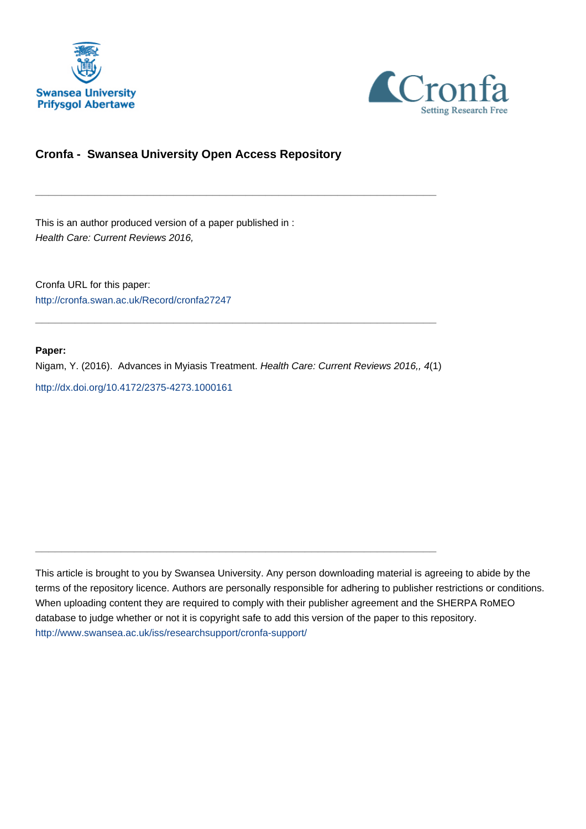



# **Cronfa - Swansea University Open Access Repository**

This is an author produced version of a paper published in : Health Care: Current Reviews 2016,

Cronfa URL for this paper: <http://cronfa.swan.ac.uk/Record/cronfa27247>

## **Paper:**

Nigam, Y. (2016). Advances in Myiasis Treatment. Health Care: Current Reviews 2016,, 4(1) <http://dx.doi.org/10.4172/2375-4273.1000161>

\_\_\_\_\_\_\_\_\_\_\_\_\_\_\_\_\_\_\_\_\_\_\_\_\_\_\_\_\_\_\_\_\_\_\_\_\_\_\_\_\_\_\_\_\_\_\_\_\_\_\_\_\_\_\_\_\_\_\_\_\_

 $\_$  , and the set of the set of the set of the set of the set of the set of the set of the set of the set of the set of the set of the set of the set of the set of the set of the set of the set of the set of the set of th

\_\_\_\_\_\_\_\_\_\_\_\_\_\_\_\_\_\_\_\_\_\_\_\_\_\_\_\_\_\_\_\_\_\_\_\_\_\_\_\_\_\_\_\_\_\_\_\_\_\_\_\_\_\_\_\_\_\_\_\_\_

This article is brought to you by Swansea University. Any person downloading material is agreeing to abide by the terms of the repository licence. Authors are personally responsible for adhering to publisher restrictions or conditions. When uploading content they are required to comply with their publisher agreement and the SHERPA RoMEO database to judge whether or not it is copyright safe to add this version of the paper to this repository. [http://www.swansea.ac.uk/iss/researchsupport/cronfa-support/](http://www.swansea.ac.uk/iss/researchsupport/cronfa-support/ )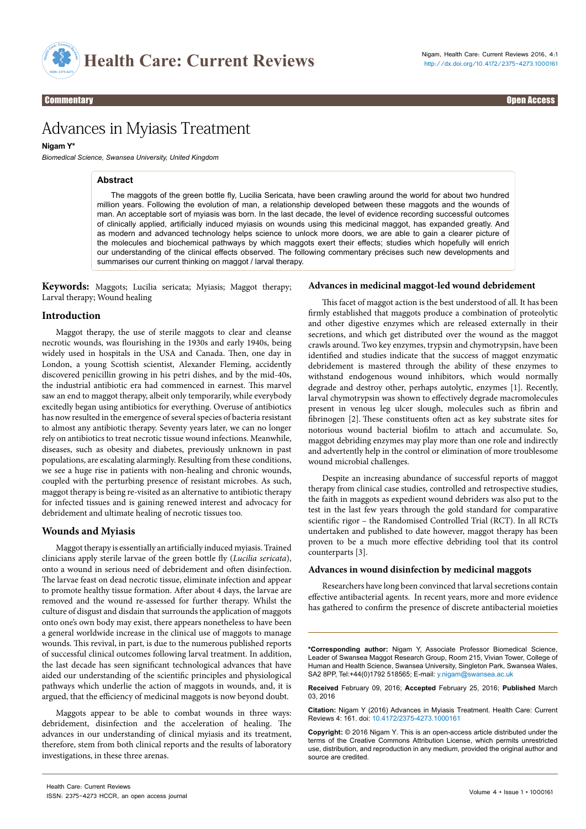

### Commentary Open Access

# Advances in Myiasis Treatment

#### **Nigam Y\***

*Biomedical Science, Swansea University, United Kingdom*

#### **Abstract**

The maggots of the green bottle fly, Lucilia Sericata, have been crawling around the world for about two hundred million years. Following the evolution of man, a relationship developed between these maggots and the wounds of man. An acceptable sort of myiasis was born. In the last decade, the level of evidence recording successful outcomes of clinically applied, artificially induced myiasis on wounds using this medicinal maggot, has expanded greatly. And as modern and advanced technology helps science to unlock more doors, we are able to gain a clearer picture of the molecules and biochemical pathways by which maggots exert their effects; studies which hopefully will enrich our understanding of the clinical effects observed. The following commentary précises such new developments and summarises our current thinking on maggot / larval therapy.

**Keywords:** Maggots; Lucilia sericata; Myiasis; Maggot therapy; Larval therapy; Wound healing

#### **Introduction**

Maggot therapy, the use of sterile maggots to clear and cleanse necrotic wounds, was flourishing in the 1930s and early 1940s, being widely used in hospitals in the USA and Canada. Then, one day in London, a young Scottish scientist, Alexander Fleming, accidently discovered penicillin growing in his petri dishes, and by the mid-40s, the industrial antibiotic era had commenced in earnest. This marvel saw an end to maggot therapy, albeit only temporarily, while everybody excitedly began using antibiotics for everything. Overuse of antibiotics has now resulted in the emergence of several species of bacteria resistant to almost any antibiotic therapy. Seventy years later, we can no longer rely on antibiotics to treat necrotic tissue wound infections. Meanwhile, diseases, such as obesity and diabetes, previously unknown in past populations, are escalating alarmingly. Resulting from these conditions, we see a huge rise in patients with non-healing and chronic wounds, coupled with the perturbing presence of resistant microbes. As such, maggot therapy is being re-visited as an alternative to antibiotic therapy for infected tissues and is gaining renewed interest and advocacy for debridement and ultimate healing of necrotic tissues too.

#### **Wounds and Myiasis**

Maggot therapy is essentially an artificially induced myiasis. Trained clinicians apply sterile larvae of the green bottle fly (*Lucilia sericata*), onto a wound in serious need of debridement and often disinfection. The larvae feast on dead necrotic tissue, eliminate infection and appear to promote healthy tissue formation. After about 4 days, the larvae are removed and the wound re-assessed for further therapy. Whilst the culture of disgust and disdain that surrounds the application of maggots onto one's own body may exist, there appears nonetheless to have been a general worldwide increase in the clinical use of maggots to manage wounds. This revival, in part, is due to the numerous published reports of successful clinical outcomes following larval treatment. In addition, the last decade has seen significant technological advances that have aided our understanding of the scientific principles and physiological pathways which underlie the action of maggots in wounds, and, it is argued, that the efficiency of medicinal maggots is now beyond doubt.

Maggots appear to be able to combat wounds in three ways: debridement, disinfection and the acceleration of healing. The advances in our understanding of clinical myiasis and its treatment, therefore, stem from both clinical reports and the results of laboratory investigations, in these three arenas.

#### **Advances in medicinal maggot-led wound debridement**

This facet of maggot action is the best understood of all. It has been firmly established that maggots produce a combination of proteolytic and other digestive enzymes which are released externally in their secretions, and which get distributed over the wound as the maggot crawls around. Two key enzymes, trypsin and chymotrypsin, have been identified and studies indicate that the success of maggot enzymatic debridement is mastered through the ability of these enzymes to withstand endogenous wound inhibitors, which would normally degrade and destroy other, perhaps autolytic, enzymes [1]. Recently, larval chymotrypsin was shown to effectively degrade macromolecules present in venous leg ulcer slough, molecules such as fibrin and fibrinogen [2]. These constituents often act as key substrate sites for notorious wound bacterial biofilm to attach and accumulate. So, maggot debriding enzymes may play more than one role and indirectly and advertently help in the control or elimination of more troublesome wound microbial challenges.

Despite an increasing abundance of successful reports of maggot therapy from clinical case studies, controlled and retrospective studies, the faith in maggots as expedient wound debriders was also put to the test in the last few years through the gold standard for comparative scientific rigor – the Randomised Controlled Trial (RCT). In all RCTs undertaken and published to date however, maggot therapy has been proven to be a much more effective debriding tool that its control counterparts [3].

#### **Advances in wound disinfection by medicinal maggots**

Researchers have long been convinced that larval secretions contain effective antibacterial agents. In recent years, more and more evidence has gathered to confirm the presence of discrete antibacterial moieties

**\*Corresponding author:** Nigam Y, Associate Professor Biomedical Science, Leader of Swansea Maggot Research Group, Room 215, Vivian Tower, College of Human and Health Science, Swansea University, Singleton Park, Swansea Wales, SA2 8PP, Tel:+44(0)1792 518565; E-mail: y.nigam@swansea.ac.uk

**Received** February 09, 2016; **Accepted** February 25, 2016; **Published** March 03, 2016

**Citation:** Nigam Y (2016) Advances in Myiasis Treatment. Health Care: Current Reviews 4: 161. doi: 10.4172/2375-4273.1000161

**Copyright:** © 2016 Nigam Y. This is an open-access article distributed under the terms of the Creative Commons Attribution License, which permits unrestricted use, distribution, and reproduction in any medium, provided the original author and source are credited.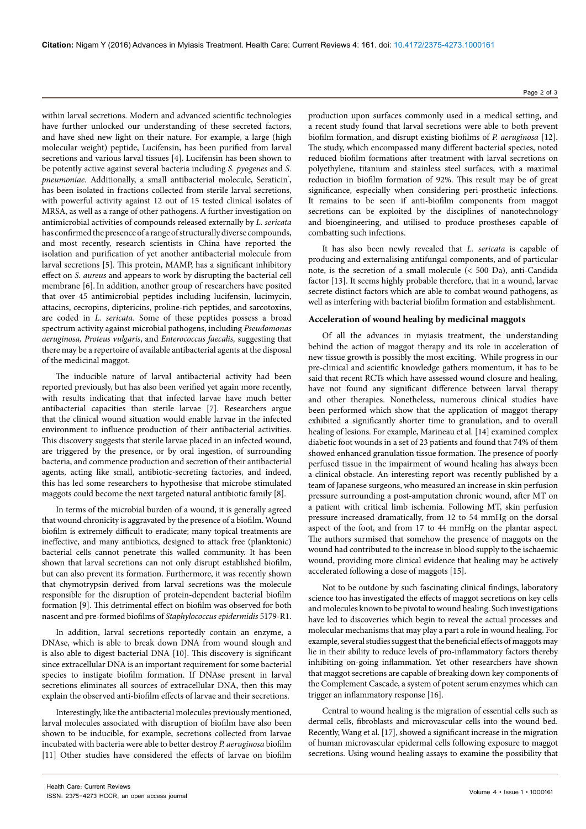within larval secretions. Modern and advanced scientific technologies have further unlocked our understanding of these secreted factors, and have shed new light on their nature. For example, a large (high molecular weight) peptide, Lucifensin, has been purified from larval secretions and various larval tissues [4]. Lucifensin has been shown to be potently active against several bacteria including *S. pyogenes* and *S.*  pneumoniae. Additionally, a small antibacterial molecule, Seraticin<sup>\*</sup>, has been isolated in fractions collected from sterile larval secretions, with powerful activity against 12 out of 15 tested clinical isolates of MRSA, as well as a range of other pathogens. A further investigation on antimicrobial activities of compounds released externally by *L. sericata* has confirmed the presence of a range of structurally diverse compounds, and most recently, research scientists in China have reported the isolation and purification of yet another antibacterial molecule from larval secretions [5]. This protein, MAMP, has a significant inhibitory effect on *S. aureus* and appears to work by disrupting the bacterial cell membrane [6].In addition, another group of researchers have posited that over 45 antimicrobial peptides including lucifensin, lucimycin, attacins, cecropins, diptericins, proline-rich peptides, and sarcotoxins, are coded in *L. sericata*. Some of these peptides possess a broad spectrum activity against microbial pathogens, including *Pseudomonas aeruginosa, Proteus vulgaris*, and *Enterococcus faecalis,* suggesting that there may be a repertoire of available antibacterial agents at the disposal of the medicinal maggot.

The inducible nature of larval antibacterial activity had been reported previously, but has also been verified yet again more recently, with results indicating that that infected larvae have much better antibacterial capacities than sterile larvae [7]. Researchers argue that the clinical wound situation would enable larvae in the infected environment to influence production of their antibacterial activities. This discovery suggests that sterile larvae placed in an infected wound, are triggered by the presence, or by oral ingestion, of surrounding bacteria, and commence production and secretion of their antibacterial agents, acting like small, antibiotic-secreting factories, and indeed, this has led some researchers to hypothesise that microbe stimulated maggots could become the next targeted natural antibiotic family [8].

In terms of the microbial burden of a wound, it is generally agreed that wound chronicity is aggravated by the presence of a biofilm. Wound biofilm is extremely difficult to eradicate; many topical treatments are ineffective, and many antibiotics, designed to attack free (planktonic) bacterial cells cannot penetrate this walled community. It has been shown that larval secretions can not only disrupt established biofilm, but can also prevent its formation. Furthermore, it was recently shown that chymotrypsin derived from larval secretions was the molecule responsible for the disruption of protein-dependent bacterial biofilm formation [9]. This detrimental effect on biofilm was observed for both nascent and pre-formed biofilms of *Staphylococcus epidermidis* 5179-R1.

In addition, larval secretions reportedly contain an enzyme, a DNAse, which is able to break down DNA from wound slough and is also able to digest bacterial DNA [10]. This discovery is significant since extracellular DNA is an important requirement for some bacterial species to instigate biofilm formation. If DNAse present in larval secretions eliminates all sources of extracellular DNA, then this may explain the observed anti-biofilm effects of larvae and their secretions.

Interestingly, like the antibacterial molecules previously mentioned, larval molecules associated with disruption of biofilm have also been shown to be inducible, for example, secretions collected from larvae incubated with bacteria were able to better destroy *P. aeruginosa* biofilm [11] Other studies have considered the effects of larvae on biofilm

production upon surfaces commonly used in a medical setting, and a recent study found that larval secretions were able to both prevent biofilm formation, and disrupt existing biofilms of *P. aeruginosa* [12]. The study, which encompassed many different bacterial species, noted reduced biofilm formations after treatment with larval secretions on polyethylene, titanium and stainless steel surfaces, with a maximal reduction in biofilm formation of 92%. This result may be of great significance, especially when considering peri-prosthetic infections. It remains to be seen if anti-biofilm components from maggot secretions can be exploited by the disciplines of nanotechnology and bioengineering, and utilised to produce prostheses capable of combatting such infections.

It has also been newly revealed that *L. sericata* is capable of producing and externalising antifungal components, and of particular note, is the secretion of a small molecule (< 500 Da), anti-Candida factor [13]. It seems highly probable therefore, that in a wound, larvae secrete distinct factors which are able to combat wound pathogens, as well as interfering with bacterial biofilm formation and establishment.

#### **Acceleration of wound healing by medicinal maggots**

Of all the advances in myiasis treatment, the understanding behind the action of maggot therapy and its role in acceleration of new tissue growth is possibly the most exciting. While progress in our pre-clinical and scientific knowledge gathers momentum, it has to be said that recent RCTs which have assessed wound closure and healing, have not found any significant difference between larval therapy and other therapies. Nonetheless, numerous clinical studies have been performed which show that the application of maggot therapy exhibited a significantly shorter time to granulation, and to overall healing of lesions. For example, Marineau et al. [14] examined complex diabetic foot wounds in a set of 23 patients and found that 74% of them showed enhanced granulation tissue formation. The presence of poorly perfused tissue in the impairment of wound healing has always been a clinical obstacle. An interesting report was recently published by a team of Japanese surgeons, who measured an increase in skin perfusion pressure surrounding a post-amputation chronic wound, after MT on a patient with critical limb ischemia. Following MT, skin perfusion pressure increased dramatically, from 12 to 54 mmHg on the dorsal aspect of the foot, and from 17 to 44 mmHg on the plantar aspect. The authors surmised that somehow the presence of maggots on the wound had contributed to the increase in blood supply to the ischaemic wound, providing more clinical evidence that healing may be actively accelerated following a dose of maggots [15].

Not to be outdone by such fascinating clinical findings, laboratory science too has investigated the effects of maggot secretions on key cells and molecules known to be pivotal to wound healing. Such investigations have led to discoveries which begin to reveal the actual processes and molecular mechanisms that may play a part a role in wound healing. For example, several studies suggest that the beneficial effects of maggots may lie in their ability to reduce levels of pro-inflammatory factors thereby inhibiting on-going inflammation. Yet other researchers have shown that maggot secretions are capable of breaking down key components of the Complement Cascade, a system of potent serum enzymes which can trigger an inflammatory response [16].

Central to wound healing is the migration of essential cells such as dermal cells, fibroblasts and microvascular cells into the wound bed. Recently, Wang et al. [17], showed a significant increase in the migration of human microvascular epidermal cells following exposure to maggot secretions. Using wound healing assays to examine the possibility that